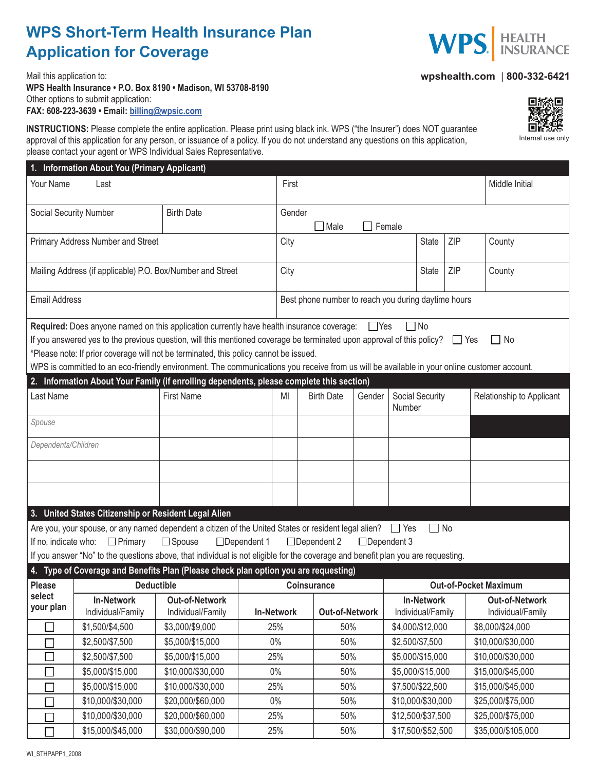# **WPS Short-Term Health Insurance Plan Application for Coverage**



# **[wpshealth.com](http://www.wpsic.com)** | **800-332-6421**

Mail this application to: **WPS Health Insurance • P.O. Box 8190 • Madison, WI 53708-8190** Other options to submit application: **FAX: 608-223-3639 • Email: [billing@wpsic.com](mailto:billing%40wpsic.com?subject=)**

**INSTRUCTIONS:** Please complete the entire application. Please print using black ink. WPS ("the Insurer") does NOT guarantee approval of this application for any person, or issuance of a policy. If you do not understand any questions on this application, please contact your agent or WPS Individual Sales Representative.

| 1. Information About You (Primary Applicant)                                                                                               |                                                                                                                                   |                                            |                              |                   |                                                     |                             |  |                           |                                        |  |                                            |  |
|--------------------------------------------------------------------------------------------------------------------------------------------|-----------------------------------------------------------------------------------------------------------------------------------|--------------------------------------------|------------------------------|-------------------|-----------------------------------------------------|-----------------------------|--|---------------------------|----------------------------------------|--|--------------------------------------------|--|
| Your Name<br>Last                                                                                                                          |                                                                                                                                   |                                            |                              | First             |                                                     |                             |  |                           | Middle Initial                         |  |                                            |  |
| Social Security Number<br><b>Birth Date</b>                                                                                                |                                                                                                                                   |                                            |                              |                   | Gender                                              |                             |  |                           |                                        |  |                                            |  |
|                                                                                                                                            |                                                                                                                                   |                                            | $\Box$ Male<br>$\Box$ Female |                   |                                                     |                             |  |                           |                                        |  |                                            |  |
| Primary Address Number and Street                                                                                                          |                                                                                                                                   |                                            |                              | City              | ZIP<br><b>State</b>                                 |                             |  | County                    |                                        |  |                                            |  |
| Mailing Address (if applicable) P.O. Box/Number and Street                                                                                 |                                                                                                                                   |                                            |                              | City              | ZIP<br><b>State</b>                                 |                             |  |                           | County                                 |  |                                            |  |
| <b>Email Address</b>                                                                                                                       |                                                                                                                                   |                                            |                              |                   | Best phone number to reach you during daytime hours |                             |  |                           |                                        |  |                                            |  |
| Required: Does anyone named on this application currently have health insurance coverage:<br>$\Box$ No<br>$\Box$ Yes                       |                                                                                                                                   |                                            |                              |                   |                                                     |                             |  |                           |                                        |  |                                            |  |
|                                                                                                                                            | If you answered yes to the previous question, will this mentioned coverage be terminated upon approval of this policy? $\Box$ Yes |                                            |                              |                   |                                                     |                             |  |                           |                                        |  | $\Box$ No                                  |  |
| *Please note: If prior coverage will not be terminated, this policy cannot be issued.                                                      |                                                                                                                                   |                                            |                              |                   |                                                     |                             |  |                           |                                        |  |                                            |  |
| WPS is committed to an eco-friendly environment. The communications you receive from us will be available in your online customer account. |                                                                                                                                   |                                            |                              |                   |                                                     |                             |  |                           |                                        |  |                                            |  |
| 2. Information About Your Family (if enrolling dependents, please complete this section)                                                   |                                                                                                                                   |                                            |                              |                   |                                                     |                             |  |                           |                                        |  |                                            |  |
| Last Name                                                                                                                                  |                                                                                                                                   | <b>First Name</b>                          |                              | MI                |                                                     | <b>Birth Date</b><br>Gender |  | Social Security<br>Number |                                        |  | Relationship to Applicant                  |  |
| Spouse                                                                                                                                     |                                                                                                                                   |                                            |                              |                   |                                                     |                             |  |                           |                                        |  |                                            |  |
| Dependents/Children                                                                                                                        |                                                                                                                                   |                                            |                              |                   |                                                     |                             |  |                           |                                        |  |                                            |  |
|                                                                                                                                            |                                                                                                                                   |                                            |                              |                   |                                                     |                             |  |                           |                                        |  |                                            |  |
|                                                                                                                                            |                                                                                                                                   |                                            |                              |                   |                                                     |                             |  |                           |                                        |  |                                            |  |
|                                                                                                                                            | 3. United States Citizenship or Resident Legal Alien                                                                              |                                            |                              |                   |                                                     |                             |  |                           |                                        |  |                                            |  |
| Are you, your spouse, or any named dependent a citizen of the United States or resident legal alien?<br>Yes<br>$\Box$ No                   |                                                                                                                                   |                                            |                              |                   |                                                     |                             |  |                           |                                        |  |                                            |  |
| $\Box$ Spouse<br>□Dependent 1<br>$\Box$ Dependent 2<br>$\Box$ Dependent 3<br>If no, indicate who:<br>$\Box$ Primary                        |                                                                                                                                   |                                            |                              |                   |                                                     |                             |  |                           |                                        |  |                                            |  |
|                                                                                                                                            | If you answer "No" to the questions above, that individual is not eligible for the coverage and benefit plan you are requesting.  |                                            |                              |                   |                                                     |                             |  |                           |                                        |  |                                            |  |
| 4. Type of Coverage and Benefits Plan (Please check plan option you are requesting)                                                        |                                                                                                                                   |                                            |                              |                   |                                                     |                             |  |                           |                                        |  |                                            |  |
| <b>Please</b>                                                                                                                              | <b>Deductible</b>                                                                                                                 |                                            |                              |                   |                                                     | <b>Coinsurance</b>          |  |                           | <b>Out-of-Pocket Maximum</b>           |  |                                            |  |
| select<br>your plan                                                                                                                        | <b>In-Network</b><br>Individual/Family                                                                                            | <b>Out-of-Network</b><br>Individual/Family |                              | <b>In-Network</b> |                                                     | <b>Out-of-Network</b>       |  |                           | <b>In-Network</b><br>Individual/Family |  | <b>Out-of-Network</b><br>Individual/Family |  |
| П                                                                                                                                          | \$1,500/\$4,500                                                                                                                   | \$3,000/\$9,000                            | 25%                          |                   |                                                     | 50%                         |  | \$4,000/\$12,000          |                                        |  | \$8,000/\$24,000                           |  |
|                                                                                                                                            | \$2,500/\$7,500                                                                                                                   | \$5,000/\$15,000                           | 0%                           |                   |                                                     | 50%                         |  | \$2,500/\$7,500           |                                        |  | \$10,000/\$30,000                          |  |
|                                                                                                                                            | \$2,500/\$7,500                                                                                                                   | \$5,000/\$15,000                           | 25%                          |                   |                                                     | 50%                         |  | \$5,000/\$15,000          |                                        |  | \$10,000/\$30,000                          |  |
|                                                                                                                                            | \$5,000/\$15,000                                                                                                                  | \$10,000/\$30,000                          | 0%                           |                   |                                                     | 50%                         |  | \$5,000/\$15,000          |                                        |  | \$15,000/\$45,000                          |  |
|                                                                                                                                            | \$5,000/\$15,000                                                                                                                  | \$10,000/\$30,000                          | 25%                          |                   |                                                     | 50%                         |  | \$7,500/\$22,500          |                                        |  | \$15,000/\$45,000                          |  |
|                                                                                                                                            | \$10,000/\$30,000                                                                                                                 | \$20,000/\$60,000                          | $0\%$                        |                   |                                                     | 50%                         |  | \$10,000/\$30,000         |                                        |  | \$25,000/\$75,000                          |  |
|                                                                                                                                            | \$10,000/\$30,000                                                                                                                 | \$20,000/\$60,000                          | 25%                          |                   |                                                     | 50%                         |  | \$12,500/\$37,500         |                                        |  | \$25,000/\$75,000                          |  |
| $\mathcal{L}_{\mathcal{A}}$                                                                                                                | \$15,000/\$45,000                                                                                                                 | \$30,000/\$90,000                          | 25%                          |                   |                                                     | 50%                         |  | \$17,500/\$52,500         |                                        |  | \$35,000/\$105,000                         |  |

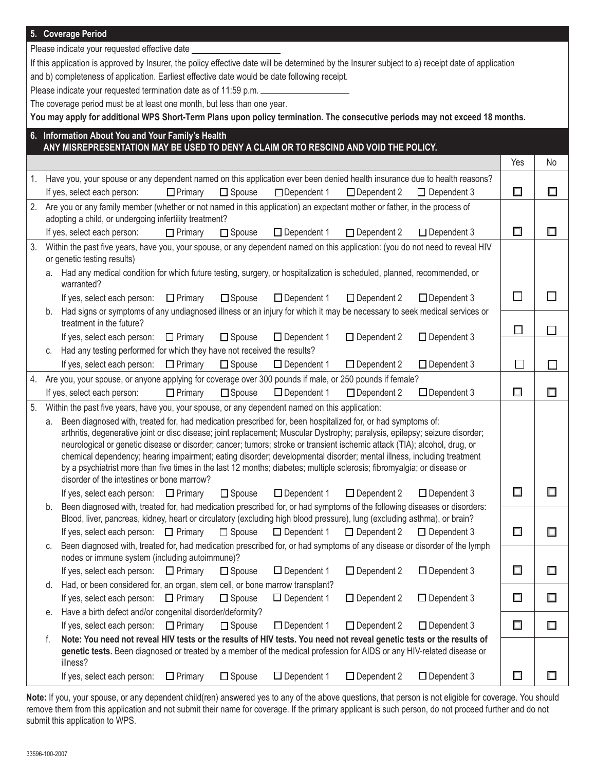|                                                                                                                                                                                                                                                                                                                                                                                                                                                                                                                                                                                                                                                                                  |                                                                                                                                                           | 5. Coverage Period                                                                                                                                                         |                    |                    |                    |              |        |  |
|----------------------------------------------------------------------------------------------------------------------------------------------------------------------------------------------------------------------------------------------------------------------------------------------------------------------------------------------------------------------------------------------------------------------------------------------------------------------------------------------------------------------------------------------------------------------------------------------------------------------------------------------------------------------------------|-----------------------------------------------------------------------------------------------------------------------------------------------------------|----------------------------------------------------------------------------------------------------------------------------------------------------------------------------|--------------------|--------------------|--------------------|--------------|--------|--|
|                                                                                                                                                                                                                                                                                                                                                                                                                                                                                                                                                                                                                                                                                  |                                                                                                                                                           | Please indicate your requested effective date __________________________________                                                                                           |                    |                    |                    |              |        |  |
|                                                                                                                                                                                                                                                                                                                                                                                                                                                                                                                                                                                                                                                                                  |                                                                                                                                                           | If this application is approved by Insurer, the policy effective date will be determined by the Insurer subject to a) receipt date of application                          |                    |                    |                    |              |        |  |
|                                                                                                                                                                                                                                                                                                                                                                                                                                                                                                                                                                                                                                                                                  |                                                                                                                                                           | and b) completeness of application. Earliest effective date would be date following receipt.                                                                               |                    |                    |                    |              |        |  |
|                                                                                                                                                                                                                                                                                                                                                                                                                                                                                                                                                                                                                                                                                  |                                                                                                                                                           | Please indicate your requested termination date as of 11:59 p.m.                                                                                                           |                    |                    |                    |              |        |  |
|                                                                                                                                                                                                                                                                                                                                                                                                                                                                                                                                                                                                                                                                                  | The coverage period must be at least one month, but less than one year.                                                                                   |                                                                                                                                                                            |                    |                    |                    |              |        |  |
|                                                                                                                                                                                                                                                                                                                                                                                                                                                                                                                                                                                                                                                                                  |                                                                                                                                                           | You may apply for additional WPS Short-Term Plans upon policy termination. The consecutive periods may not exceed 18 months.                                               |                    |                    |                    |              |        |  |
|                                                                                                                                                                                                                                                                                                                                                                                                                                                                                                                                                                                                                                                                                  |                                                                                                                                                           | 6. Information About You and Your Family's Health                                                                                                                          |                    |                    |                    |              |        |  |
|                                                                                                                                                                                                                                                                                                                                                                                                                                                                                                                                                                                                                                                                                  |                                                                                                                                                           | ANY MISREPRESENTATION MAY BE USED TO DENY A CLAIM OR TO RESCIND AND VOID THE POLICY.                                                                                       |                    |                    |                    |              |        |  |
|                                                                                                                                                                                                                                                                                                                                                                                                                                                                                                                                                                                                                                                                                  |                                                                                                                                                           |                                                                                                                                                                            |                    |                    |                    | Yes          | No     |  |
|                                                                                                                                                                                                                                                                                                                                                                                                                                                                                                                                                                                                                                                                                  |                                                                                                                                                           | 1. Have you, your spouse or any dependent named on this application ever been denied health insurance due to health reasons?                                               |                    |                    |                    |              |        |  |
|                                                                                                                                                                                                                                                                                                                                                                                                                                                                                                                                                                                                                                                                                  |                                                                                                                                                           | $\Box$ Primary<br>$\square$ Spouse<br>If yes, select each person:                                                                                                          | □Dependent 1       | $\Box$ Dependent 2 | $\Box$ Dependent 3 | $\Box$       | $\Box$ |  |
| Are you or any family member (whether or not named in this application) an expectant mother or father, in the process of<br>2.<br>adopting a child, or undergoing infertility treatment?                                                                                                                                                                                                                                                                                                                                                                                                                                                                                         |                                                                                                                                                           |                                                                                                                                                                            |                    |                    |                    |              |        |  |
|                                                                                                                                                                                                                                                                                                                                                                                                                                                                                                                                                                                                                                                                                  |                                                                                                                                                           | If yes, select each person:<br>$\Box$ Primary<br>$\square$ Spouse                                                                                                          | $\Box$ Dependent 1 | $\Box$ Dependent 2 | $\Box$ Dependent 3 | $\Box$       | $\Box$ |  |
| 3.                                                                                                                                                                                                                                                                                                                                                                                                                                                                                                                                                                                                                                                                               |                                                                                                                                                           | Within the past five years, have you, your spouse, or any dependent named on this application: (you do not need to reveal HIV<br>or genetic testing results)               |                    |                    |                    |              |        |  |
|                                                                                                                                                                                                                                                                                                                                                                                                                                                                                                                                                                                                                                                                                  | Had any medical condition for which future testing, surgery, or hospitalization is scheduled, planned, recommended, or<br>а.<br>warranted?                |                                                                                                                                                                            |                    |                    |                    |              |        |  |
|                                                                                                                                                                                                                                                                                                                                                                                                                                                                                                                                                                                                                                                                                  |                                                                                                                                                           | $\square$ Spouse<br>$\Box$ Primary<br>If yes, select each person:                                                                                                          | $\Box$ Dependent 1 | $\Box$ Dependent 2 | $\Box$ Dependent 3 | $\Box$       |        |  |
|                                                                                                                                                                                                                                                                                                                                                                                                                                                                                                                                                                                                                                                                                  | Had signs or symptoms of any undiagnosed illness or an injury for which it may be necessary to seek medical services or<br>b.<br>treatment in the future? |                                                                                                                                                                            |                    |                    |                    |              |        |  |
|                                                                                                                                                                                                                                                                                                                                                                                                                                                                                                                                                                                                                                                                                  |                                                                                                                                                           | $\Box$ Primary<br>$\Box$ Spouse<br>If yes, select each person:                                                                                                             | $\Box$ Dependent 1 | $\Box$ Dependent 2 | $\Box$ Dependent 3 | $\Box$       |        |  |
|                                                                                                                                                                                                                                                                                                                                                                                                                                                                                                                                                                                                                                                                                  | C.                                                                                                                                                        | Had any testing performed for which they have not received the results?                                                                                                    |                    |                    |                    |              |        |  |
|                                                                                                                                                                                                                                                                                                                                                                                                                                                                                                                                                                                                                                                                                  |                                                                                                                                                           | If yes, select each person:<br>$\Box$ Primary<br>$\square$ Spouse                                                                                                          | $\Box$ Dependent 1 | $\Box$ Dependent 2 | $\Box$ Dependent 3 | $\mathbf{L}$ | $\Box$ |  |
| 4.                                                                                                                                                                                                                                                                                                                                                                                                                                                                                                                                                                                                                                                                               |                                                                                                                                                           | Are you, your spouse, or anyone applying for coverage over 300 pounds if male, or 250 pounds if female?                                                                    |                    |                    |                    |              |        |  |
|                                                                                                                                                                                                                                                                                                                                                                                                                                                                                                                                                                                                                                                                                  |                                                                                                                                                           | $\Box$ Primary<br>$\square$ Spouse<br>If yes, select each person:                                                                                                          | $\Box$ Dependent 1 | $\Box$ Dependent 2 | $\Box$ Dependent 3 | $\Box$       | □      |  |
| Within the past five years, have you, your spouse, or any dependent named on this application:<br>5.                                                                                                                                                                                                                                                                                                                                                                                                                                                                                                                                                                             |                                                                                                                                                           |                                                                                                                                                                            |                    |                    |                    |              |        |  |
| Been diagnosed with, treated for, had medication prescribed for, been hospitalized for, or had symptoms of:<br>а.<br>arthritis, degenerative joint or disc disease; joint replacement; Muscular Dystrophy; paralysis, epilepsy; seizure disorder;<br>neurological or genetic disease or disorder; cancer; tumors; stroke or transient ischemic attack (TIA); alcohol, drug, or<br>chemical dependency; hearing impairment; eating disorder; developmental disorder; mental illness, including treatment<br>by a psychiatrist more than five times in the last 12 months; diabetes; multiple sclerosis; fibromyalgia; or disease or<br>disorder of the intestines or bone marrow? |                                                                                                                                                           |                                                                                                                                                                            |                    |                    |                    |              |        |  |
|                                                                                                                                                                                                                                                                                                                                                                                                                                                                                                                                                                                                                                                                                  |                                                                                                                                                           | If yes, select each person:<br>$\Box$ Primary<br>$\square$ Spouse                                                                                                          | $\Box$ Dependent 1 | $\Box$ Dependent 2 | $\Box$ Dependent 3 | $\Box$       | □      |  |
|                                                                                                                                                                                                                                                                                                                                                                                                                                                                                                                                                                                                                                                                                  | b.                                                                                                                                                        | Been diagnosed with, treated for, had medication prescribed for, or had symptoms of the following diseases or disorders:                                                   |                    |                    |                    |              |        |  |
|                                                                                                                                                                                                                                                                                                                                                                                                                                                                                                                                                                                                                                                                                  |                                                                                                                                                           | Blood, liver, pancreas, kidney, heart or circulatory (excluding high blood pressure), lung (excluding asthma), or brain?                                                   |                    |                    |                    |              |        |  |
|                                                                                                                                                                                                                                                                                                                                                                                                                                                                                                                                                                                                                                                                                  |                                                                                                                                                           | If yes, select each person: $\Box$ Primary<br>$\Box$ Spouse                                                                                                                | $\Box$ Dependent 1 | $\Box$ Dependent 2 | $\Box$ Dependent 3 | $\Box$       | □      |  |
|                                                                                                                                                                                                                                                                                                                                                                                                                                                                                                                                                                                                                                                                                  | C.                                                                                                                                                        | Been diagnosed with, treated for, had medication prescribed for, or had symptoms of any disease or disorder of the lymph<br>nodes or immune system (including autoimmune)? |                    |                    |                    |              |        |  |
|                                                                                                                                                                                                                                                                                                                                                                                                                                                                                                                                                                                                                                                                                  |                                                                                                                                                           | If yes, select each person:<br>$\Box$ Primary<br>$\Box$ Spouse                                                                                                             | $\Box$ Dependent 1 | $\Box$ Dependent 2 | $\Box$ Dependent 3 | $\Box$       | $\Box$ |  |
|                                                                                                                                                                                                                                                                                                                                                                                                                                                                                                                                                                                                                                                                                  | d.                                                                                                                                                        | Had, or been considered for, an organ, stem cell, or bone marrow transplant?                                                                                               |                    |                    |                    |              |        |  |
|                                                                                                                                                                                                                                                                                                                                                                                                                                                                                                                                                                                                                                                                                  |                                                                                                                                                           | If yes, select each person:<br>$\Box$ Primary<br>$\square$ Spouse                                                                                                          | $\Box$ Dependent 1 | $\Box$ Dependent 2 | $\Box$ Dependent 3 | □            | $\Box$ |  |
|                                                                                                                                                                                                                                                                                                                                                                                                                                                                                                                                                                                                                                                                                  | е.                                                                                                                                                        | Have a birth defect and/or congenital disorder/deformity?                                                                                                                  |                    |                    |                    |              |        |  |
|                                                                                                                                                                                                                                                                                                                                                                                                                                                                                                                                                                                                                                                                                  |                                                                                                                                                           | □ Dependent 1<br>$\Box$ Dependent 2<br>$\Box$ Dependent 3<br>If yes, select each person:<br>$\Box$ Primary<br>$\square$ Spouse                                             |                    |                    |                    |              |        |  |
|                                                                                                                                                                                                                                                                                                                                                                                                                                                                                                                                                                                                                                                                                  | f.                                                                                                                                                        | Note: You need not reveal HIV tests or the results of HIV tests. You need not reveal genetic tests or the results of                                                       |                    |                    |                    | $\Box$       | $\Box$ |  |
| genetic tests. Been diagnosed or treated by a member of the medical profession for AIDS or any HIV-related disease or<br>illness?                                                                                                                                                                                                                                                                                                                                                                                                                                                                                                                                                |                                                                                                                                                           |                                                                                                                                                                            |                    |                    |                    |              |        |  |
|                                                                                                                                                                                                                                                                                                                                                                                                                                                                                                                                                                                                                                                                                  |                                                                                                                                                           | If yes, select each person:<br>$\Box$ Primary<br>$\square$ Spouse                                                                                                          | $\Box$ Dependent 1 | $\Box$ Dependent 2 | $\Box$ Dependent 3 | $\Box$       | □      |  |

**Note:** If you, your spouse, or any dependent child(ren) answered yes to any of the above questions, that person is not eligible for coverage. You should remove them from this application and not submit their name for coverage. If the primary applicant is such person, do not proceed further and do not submit this application to WPS.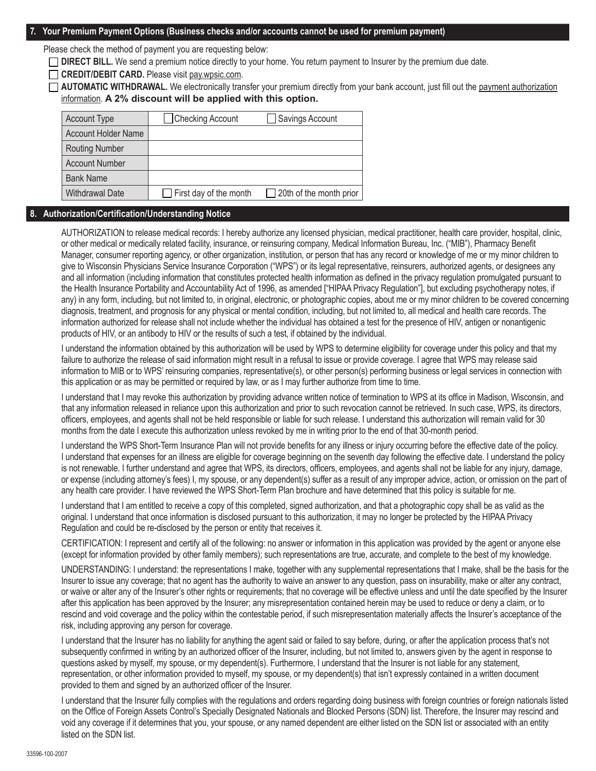## **7. Your Premium Payment Options (Business checks and/or accounts cannot be used for premium payment)**

Please check the method of payment you are requesting below:

**DIRECT BILL.** We send a premium notice directly to your home. You return payment to Insurer by the premium due date.

**CREDIT/DEBIT CARD.** Please visit pay.wpsic.com.

 **AUTOMATIC WITHDRAWAL.** We electronically transfer your premium directly from your bank account, just fill out the payment authorization information. **A 2% discount will be applied with this option.**

| <b>Account Type</b>        | Checking Account              | Savings Account                |
|----------------------------|-------------------------------|--------------------------------|
| <b>Account Holder Name</b> |                               |                                |
| <b>Routing Number</b>      |                               |                                |
| <b>Account Number</b>      |                               |                                |
| <b>Bank Name</b>           |                               |                                |
| <b>Withdrawal Date</b>     | $\Box$ First day of the month | $\Box$ 20th of the month prior |
|                            |                               |                                |

## **8. Authorization/Certification/Understanding Notice**

AUTHORIZATION to release medical records: I hereby authorize any licensed physician, medical practitioner, health care provider, hospital, clinic, or other medical or medically related facility, insurance, or reinsuring company, Medical Information Bureau, Inc. ("MIB"), Pharmacy Benefit Manager, consumer reporting agency, or other organization, institution, or person that has any record or knowledge of me or my minor children to give to Wisconsin Physicians Service Insurance Corporation ("WPS") or its legal representative, reinsurers, authorized agents, or designees any and all information (including information that constitutes protected health information as defined in the privacy regulation promulgated pursuant to the Health Insurance Portability and Accountability Act of 1996, as amended ["HIPAA Privacy Regulation"], but excluding psychotherapy notes, if any) in any form, including, but not limited to, in original, electronic, or photographic copies, about me or my minor children to be covered concerning diagnosis, treatment, and prognosis for any physical or mental condition, including, but not limited to, all medical and health care records. The information authorized for release shall not include whether the individual has obtained a test for the presence of HIV, antigen or nonantigenic products of HIV, or an antibody to HIV or the results of such a test, if obtained by the individual.

I understand the information obtained by this authorization will be used by WPS to determine eligibility for coverage under this policy and that my failure to authorize the release of said information might result in a refusal to issue or provide coverage. I agree that WPS may release said information to MIB or to WPS' reinsuring companies, representative(s), or other person(s) performing business or legal services in connection with this application or as may be permitted or required by law, or as I may further authorize from time to time.

I understand that I may revoke this authorization by providing advance written notice of termination to WPS at its office in Madison, Wisconsin, and that any information released in reliance upon this authorization and prior to such revocation cannot be retrieved. In such case, WPS, its directors, officers, employees, and agents shall not be held responsible or liable for such release. I understand this authorization will remain valid for 30 months from the date I execute this authorization unless revoked by me in writing prior to the end of that 30-month period.

I understand the WPS Short-Term Insurance Plan will not provide benefits for any illness or injury occurring before the effective date of the policy. I understand that expenses for an illness are eligible for coverage beginning on the seventh day following the effective date. I understand the policy is not renewable. I further understand and agree that WPS, its directors, officers, employees, and agents shall not be liable for any injury, damage, or expense (including attorney's fees) I, my spouse, or any dependent(s) suffer as a result of any improper advice, action, or omission on the part of any health care provider. I have reviewed the WPS Short-Term Plan brochure and have determined that this policy is suitable for me.

I understand that I am entitled to receive a copy of this completed, signed authorization, and that a photographic copy shall be as valid as the original. I understand that once information is disclosed pursuant to this authorization, it may no longer be protected by the HIPAA Privacy Regulation and could be re-disclosed by the person or entity that receives it.

CERTIFICATION: I represent and certify all of the following: no answer or information in this application was provided by the agent or anyone else (except for information provided by other family members); such representations are true, accurate, and complete to the best of my knowledge.

UNDERSTANDING: I understand: the representations I make, together with any supplemental representations that I make, shall be the basis for the Insurer to issue any coverage; that no agent has the authority to waive an answer to any question, pass on insurability, make or alter any contract, or waive or alter any of the Insurer's other rights or requirements; that no coverage will be effective unless and until the date specified by the Insurer after this application has been approved by the Insurer; any misrepresentation contained herein may be used to reduce or deny a claim, or to rescind and void coverage and the policy within the contestable period, if such misrepresentation materially affects the Insurer's acceptance of the risk, including approving any person for coverage.

I understand that the Insurer has no liability for anything the agent said or failed to say before, during, or after the application process that's not subsequently confirmed in writing by an authorized officer of the Insurer, including, but not limited to, answers given by the agent in response to questions asked by myself, my spouse, or my dependent(s). Furthermore, I understand that the Insurer is not liable for any statement, representation, or other information provided to myself, my spouse, or my dependent(s) that isn't expressly contained in a written document provided to them and signed by an authorized officer of the Insurer.

I understand that the Insurer fully complies with the regulations and orders regarding doing business with foreign countries or foreign nationals listed on the Office of Foreign Assets Control's Specially Designated Nationals and Blocked Persons (SDN) list. Therefore, the Insurer may rescind and void any coverage if it determines that you, your spouse, or any named dependent are either listed on the SDN list or associated with an entity listed on the SDN list.